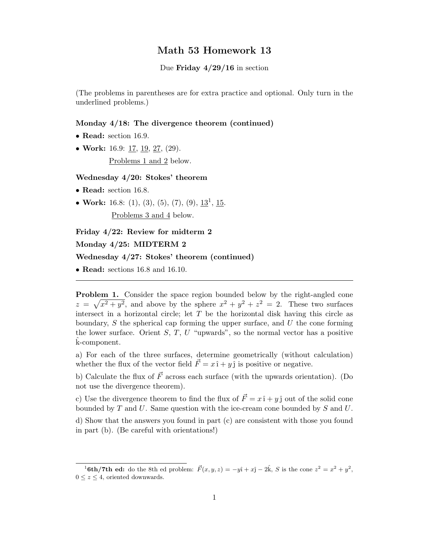# Math 53 Homework 13

Due Friday  $4/29/16$  in section

(The problems in parentheses are for extra practice and optional. Only turn in the underlined problems.)

# Monday 4/18: The divergence theorem (continued)

- Read: section 16.9.
- Work: 16.9: 17, 19, 27, (29).

Problems 1 and 2 below.

# Wednesday 4/20: Stokes' theorem

- Read: section 16.8.
- Work: 16.8: (1), (3), (5), (7), (9),  $13^1$ , 15. Problems 3 and 4 below.

# Friday 4/22: Review for midterm 2

Monday 4/25: MIDTERM 2

# Wednesday 4/27: Stokes' theorem (continued)

• Read: sections 16.8 and 16.10.

Problem 1. Consider the space region bounded below by the right-angled cone  $z = \sqrt{x^2 + y^2}$ , and above by the sphere  $x^2 + y^2 + z^2 = 2$ . These two surfaces intersect in a horizontal circle; let  $T$  be the horizontal disk having this circle as boundary,  $S$  the spherical cap forming the upper surface, and  $U$  the cone forming the lower surface. Orient  $S, T, U$  "upwards", so the normal vector has a positive k-component.

a) For each of the three surfaces, determine geometrically (without calculation) whether the flux of the vector field  $\vec{F} = x\hat{i} + y\hat{j}$  is positive or negative.

b) Calculate the flux of  $\vec{F}$  across each surface (with the upwards orientation). (Do not use the divergence theorem).

c) Use the divergence theorem to find the flux of  $\vec{F} = x\hat{i} + y\hat{j}$  out of the solid cone bounded by  $T$  and  $U$ . Same question with the ice-cream cone bounded by  $S$  and  $U$ .

d) Show that the answers you found in part (c) are consistent with those you found in part (b). (Be careful with orientations!)

<sup>&</sup>lt;sup>1</sup>6th/7th ed: do the 8th ed problem:  $\vec{F}(x, y, z) = -y\hat{i} + x\hat{j} - 2\hat{k}$ , S is the cone  $z^2 = x^2 + y^2$ ,  $0 \leq z \leq 4$ , oriented downwards.